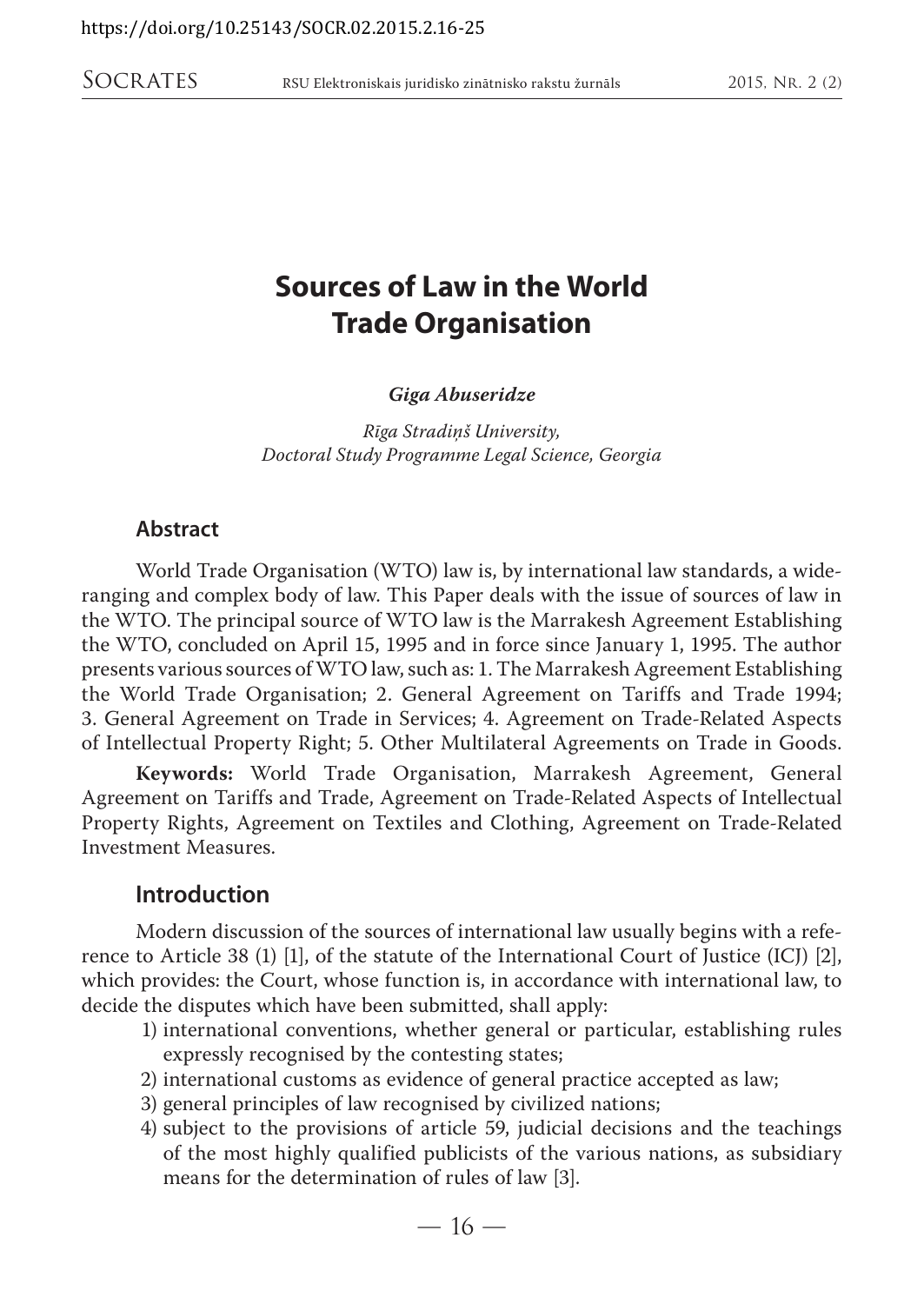# **Sources of Law in the World Trade Organisation**

*Giga Abuseridze*

*Rīga Stradiņš University, Doctoral Study Programme Legal Science, Georgia*

#### **Abstract**

World Trade Organisation (WTO) law is, by international law standards, a wideranging and complex body of law. This Paper deals with the issue of sources of law in the WTO. The principal source of WTO law is the Marrakesh Agreement Establishing the WTO, concluded on April 15, 1995 and in force since January 1, 1995. The author presents various sources of WTO law, such as: 1. The Marrakesh Agreement Establishing the World Trade Organisation; 2. General Agreement on Tariffs and Trade 1994; 3. General Agreement on Trade in Services; 4. Agreement on Trade-Related Aspects of Intellectual Property Right; 5. Other Multilateral Agreements on Trade in Goods.

**Keywords:** World Trade Organisation, Marrakesh Agreement, General Agreement on Tariffs and Trade, Agreement on Trade-Related Aspects of Intellectual Property Rights, Agreement on Textiles and Clothing, Agreement on Trade-Related Investment Measures.

### **Introduction**

Modern discussion of the sources of international law usually begins with a reference to Article 38 (1) [1], of the statute of the International Court of Justice (ICJ) [2], which provides: the Court, whose function is, in accordance with international law, to decide the disputes which have been submitted, shall apply:

- 1) international conventions, whether general or particular, establishing rules expressly recognised by the contesting states;
- 2) international customs as evidence of general practice accepted as law;
- 3) general principles of law recognised by civilized nations;
- 4) subject to the provisions of article 59, judicial decisions and the teachings of the most highly qualified publicists of the various nations, as subsidiary means for the determination of rules of law [3].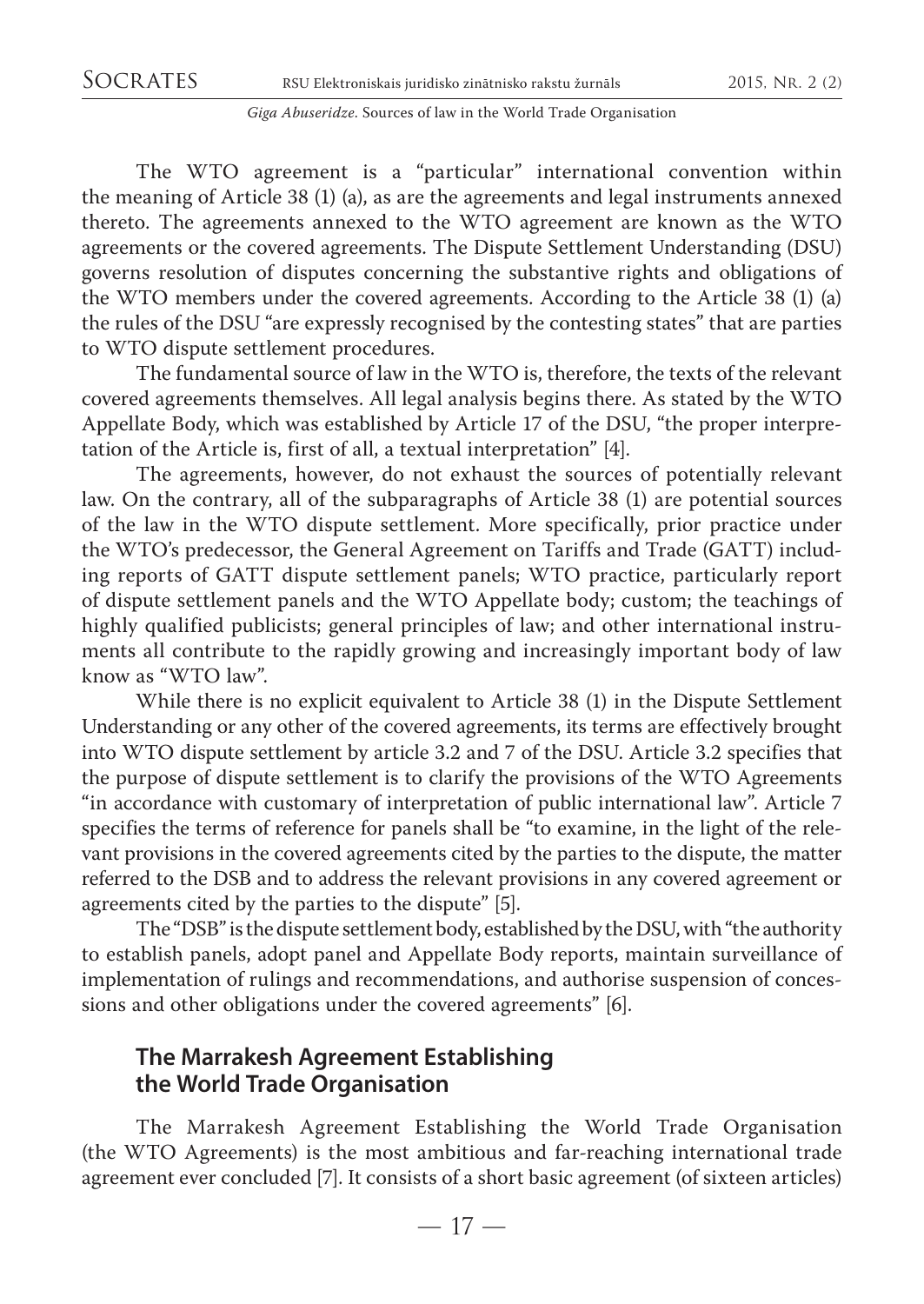The WTO agreement is a "particular" international convention within the meaning of Article 38 (1) (a), as are the agreements and legal instruments annexed thereto. The agreements annexed to the WTO agreement are known as the WTO agreements or the covered agreements. The Dispute Settlement Understanding (DSU) governs resolution of disputes concerning the substantive rights and obligations of the WTO members under the covered agreements. According to the Article 38 (1) (a) the rules of the DSU "are expressly recognised by the contesting states" that are parties to WTO dispute settlement procedures.

The fundamental source of law in the WTO is, therefore, the texts of the relevant covered agreements themselves. All legal analysis begins there. As stated by the WTO Appellate Body, which was established by Article 17 of the DSU, "the proper interpretation of the Article is, first of all, a textual interpretation" [4].

The agreements, however, do not exhaust the sources of potentially relevant law. On the contrary, all of the subparagraphs of Article 38 (1) are potential sources of the law in the WTO dispute settlement. More specifically, prior practice under the WTO's predecessor, the General Agreement on Tariffs and Trade (GATT) including reports of GATT dispute settlement panels; WTO practice, particularly report of dispute settlement panels and the WTO Appellate body; custom; the teachings of highly qualified publicists; general principles of law; and other international instruments all contribute to the rapidly growing and increasingly important body of law know as "WTO law".

While there is no explicit equivalent to Article 38 (1) in the Dispute Settlement Understanding or any other of the covered agreements, its terms are effectively brought into WTO dispute settlement by article 3.2 and 7 of the DSU. Article 3.2 specifies that the purpose of dispute settlement is to clarify the provisions of the WTO Agreements "in accordance with customary of interpretation of public international law". Article 7 specifies the terms of reference for panels shall be "to examine, in the light of the relevant provisions in the covered agreements cited by the parties to the dispute, the matter referred to the DSB and to address the relevant provisions in any covered agreement or agreements cited by the parties to the dispute" [5].

The "DSB" is the dispute settlement body, established by the DSU, with "the authority to establish panels, adopt panel and Appellate Body reports, maintain surveillance of implementation of rulings and recommendations, and authorise suspension of concessions and other obligations under the covered agreements" [6].

### **The Marrakesh Agreement Establishing the World Trade Organisation**

The Marrakesh Agreement Establishing the World Trade Organisation (the WTO Agreements) is the most ambitious and far-reaching international trade agreement ever concluded [7]. It consists of a short basic agreement (of sixteen articles)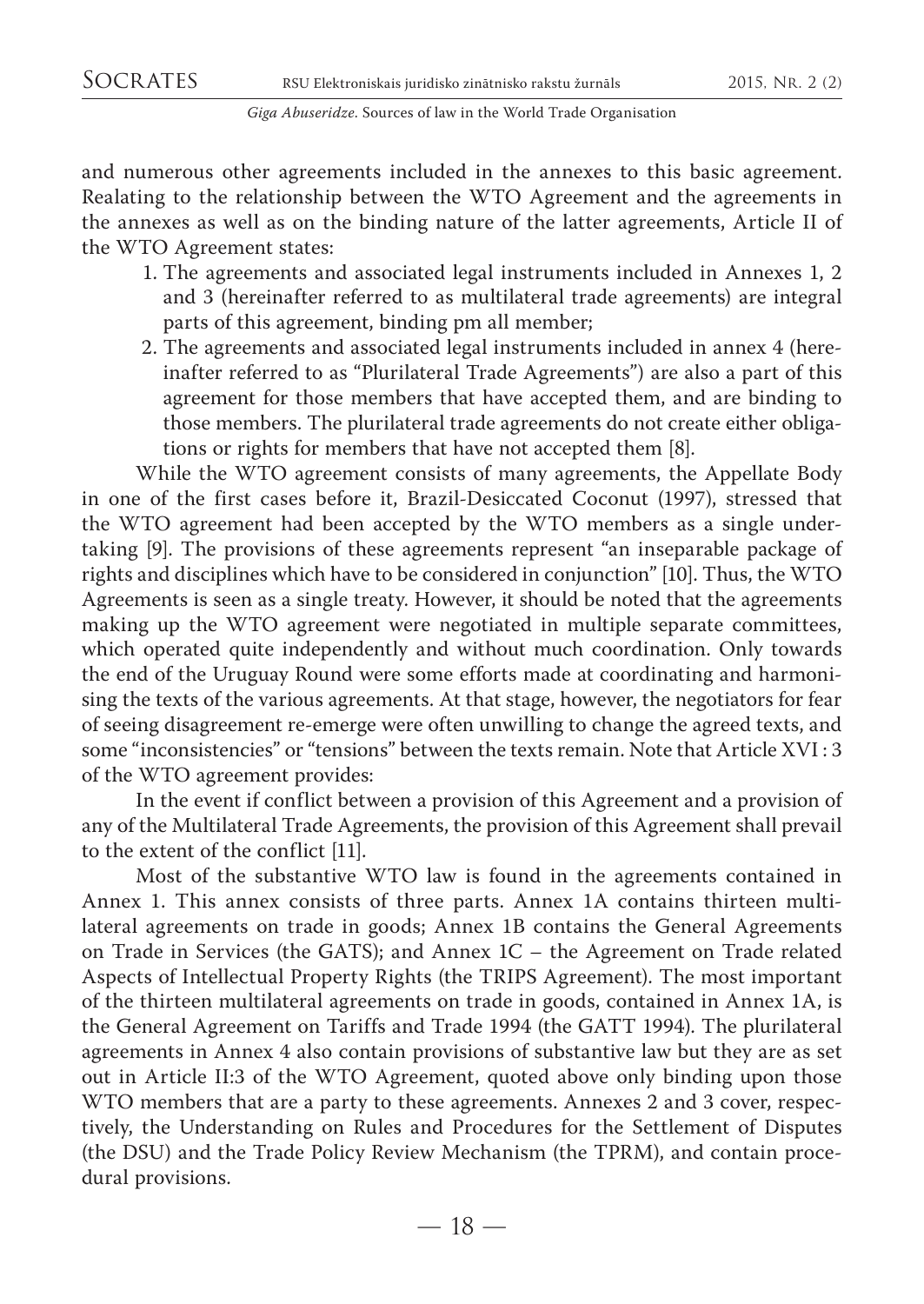and numerous other agreements included in the annexes to this basic agreement. Realating to the relationship between the WTO Agreement and the agreements in the annexes as well as on the binding nature of the latter agreements, Article II of the WTO Agreement states:

- 1. The agreements and associated legal instruments included in Annexes 1, 2 and 3 (hereinafter referred to as multilateral trade agreements) are integral parts of this agreement, binding pm all member;
- 2. The agreements and associated legal instruments included in annex 4 (hereinafter referred to as "Plurilateral Trade Agreements") are also a part of this agreement for those members that have accepted them, and are binding to those members. The plurilateral trade agreements do not create either obligations or rights for members that have not accepted them [8].

While the WTO agreement consists of many agreements, the Appellate Body in one of the first cases before it, Brazil-Desiccated Coconut (1997), stressed that the WTO agreement had been accepted by the WTO members as a single undertaking [9]. The provisions of these agreements represent "an inseparable package of rights and disciplines which have to be considered in conjunction" [10]. Thus, the WTO Agreements is seen as a single treaty. However, it should be noted that the agreements making up the WTO agreement were negotiated in multiple separate committees, which operated quite independently and without much coordination. Only towards the end of the Uruguay Round were some efforts made at coordinating and harmonising the texts of the various agreements. At that stage, however, the negotiators for fear of seeing disagreement re-emerge were often unwilling to change the agreed texts, and some "inconsistencies" or "tensions" between the texts remain. Note that Article XVI : 3 of the WTO agreement provides:

In the event if conflict between a provision of this Agreement and a provision of any of the Multilateral Trade Agreements, the provision of this Agreement shall prevail to the extent of the conflict [11].

Most of the substantive WTO law is found in the agreements contained in Annex 1. This annex consists of three parts. Annex 1A contains thirteen multilateral agreements on trade in goods; Annex 1B contains the General Agreements on Trade in Services (the GATS); and Annex 1C – the Agreement on Trade related Aspects of Intellectual Property Rights (the TRIPS Agreement). The most important of the thirteen multilateral agreements on trade in goods, contained in Annex 1A, is the General Agreement on Tariffs and Trade 1994 (the GATT 1994). The plurilateral agreements in Annex 4 also contain provisions of substantive law but they are as set out in Article II:3 of the WTO Agreement, quoted above only binding upon those WTO members that are a party to these agreements. Annexes 2 and 3 cover, respectively, the Understanding on Rules and Procedures for the Settlement of Disputes (the DSU) and the Trade Policy Review Mechanism (the TPRM), and contain procedural provisions.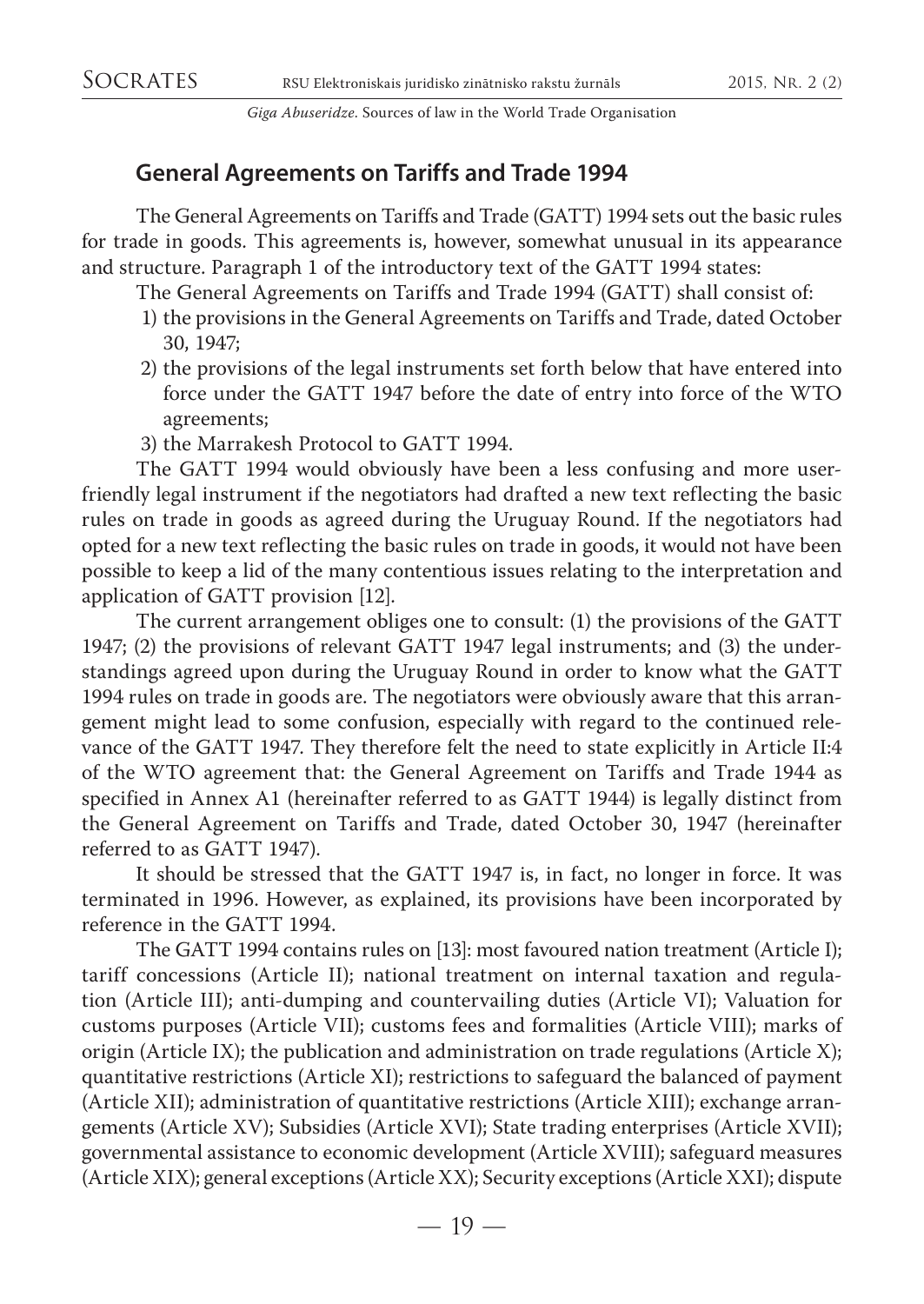## **General Agreements on Tariffs and Trade 1994**

The General Agreements on Tariffs and Trade (GATT) 1994 sets out the basic rules for trade in goods. This agreements is, however, somewhat unusual in its appearance and structure. Paragraph 1 of the introductory text of the GATT 1994 states:

The General Agreements on Tariffs and Trade 1994 (GATT) shall consist of:

- 1) the provisions in the General Agreements on Tariffs and Trade, dated October 30, 1947;
- 2) the provisions of the legal instruments set forth below that have entered into force under the GATT 1947 before the date of entry into force of the WTO agreements;
- 3) the Marrakesh Protocol to GATT 1994.

The GATT 1994 would obviously have been a less confusing and more userfriendly legal instrument if the negotiators had drafted a new text reflecting the basic rules on trade in goods as agreed during the Uruguay Round. If the negotiators had opted for a new text reflecting the basic rules on trade in goods, it would not have been possible to keep a lid of the many contentious issues relating to the interpretation and application of GATT provision [12].

The current arrangement obliges one to consult: (1) the provisions of the GATT 1947; (2) the provisions of relevant GATT 1947 legal instruments; and (3) the understandings agreed upon during the Uruguay Round in order to know what the GATT 1994 rules on trade in goods are. The negotiators were obviously aware that this arrangement might lead to some confusion, especially with regard to the continued relevance of the GATT 1947. They therefore felt the need to state explicitly in Article II:4 of the WTO agreement that: the General Agreement on Tariffs and Trade 1944 as specified in Annex A1 (hereinafter referred to as GATT 1944) is legally distinct from the General Agreement on Tariffs and Trade, dated October 30, 1947 (hereinafter referred to as GATT 1947).

It should be stressed that the GATT 1947 is, in fact, no longer in force. It was terminated in 1996. However, as explained, its provisions have been incorporated by reference in the GATT 1994.

The GATT 1994 contains rules on [13]: most favoured nation treatment (Article I); tariff concessions (Article II); national treatment on internal taxation and regulation (Article III); anti-dumping and countervailing duties (Article VI); Valuation for customs purposes (Article VII); customs fees and formalities (Article VIII); marks of origin (Article IX); the publication and administration on trade regulations (Article X); quantitative restrictions (Article XI); restrictions to safeguard the balanced of payment (Article XII); administration of quantitative restrictions (Article XIII); exchange arrangements (Article XV); Subsidies (Article XVI); State trading enterprises (Article XVII); governmental assistance to economic development (Article XVIII); safeguard measures (Article XIX); general exceptions (Article XX); Security exceptions (Article XXI); dispute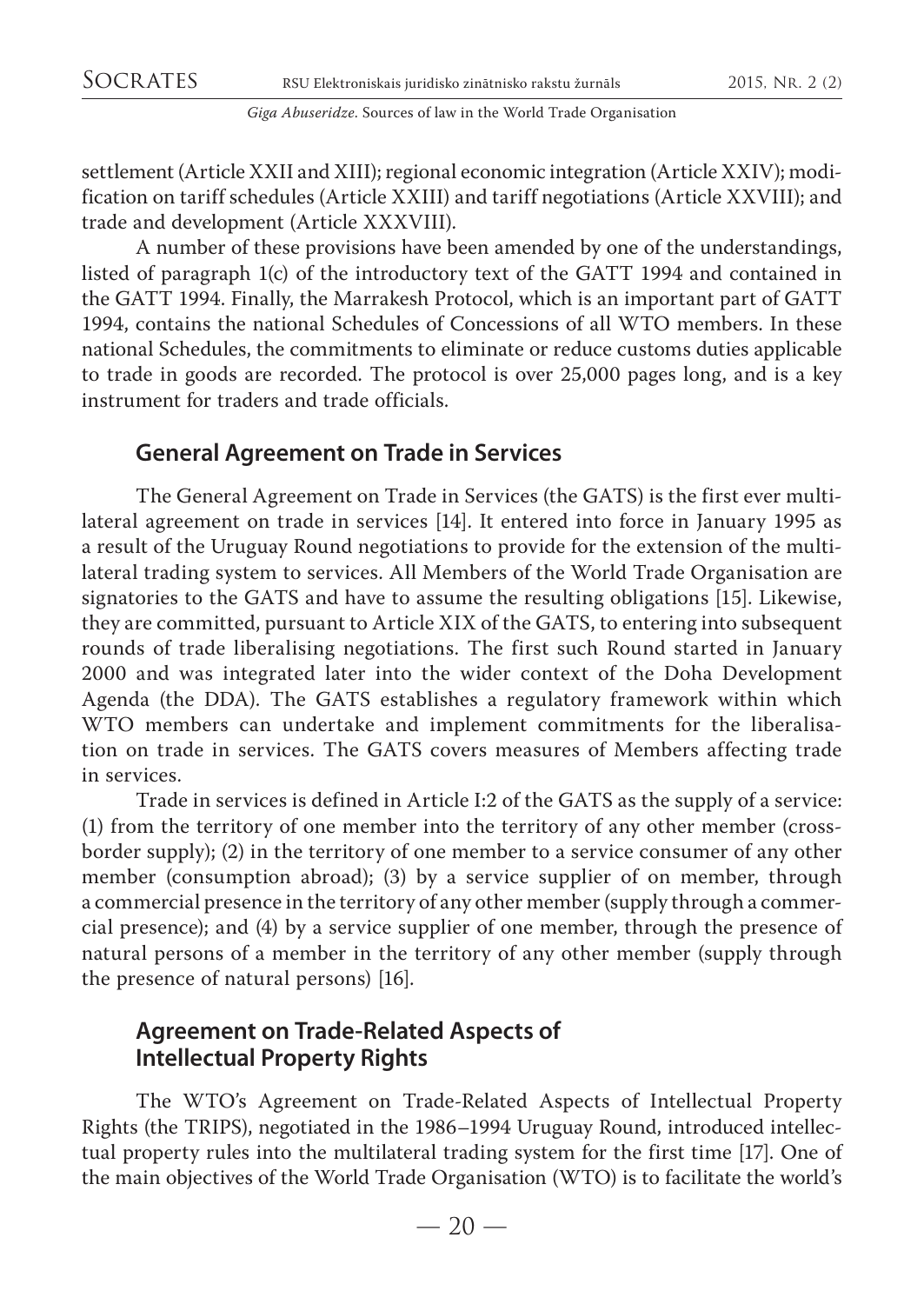settlement (Article XXII and XIII); regional economic integration (Article XXIV); modification on tariff schedules (Article XXIII) and tariff negotiations (Article XXVIII); and trade and development (Article XXXVIII).

A number of these provisions have been amended by one of the understandings, listed of paragraph 1(c) of the introductory text of the GATT 1994 and contained in the GATT 1994. Finally, the Marrakesh Protocol, which is an important part of GATT 1994, contains the national Schedules of Concessions of all WTO members. In these national Schedules, the commitments to eliminate or reduce customs duties applicable to trade in goods are recorded. The protocol is over 25,000 pages long, and is a key instrument for traders and trade officials.

## **General Agreement on Trade in Services**

The General Agreement on Trade in Services (the GATS) is the first ever multilateral agreement on trade in services [14]. It entered into force in January 1995 as a result of the Uruguay Round negotiations to provide for the extension of the multilateral trading system to services. All Members of the World Trade Organisation are signatories to the GATS and have to assume the resulting obligations [15]. Likewise, they are committed, pursuant to Article XIX of the GATS, to entering into subsequent rounds of trade liberalising negotiations. The first such Round started in January 2000 and was integrated later into the wider context of the Doha Development Agenda (the DDA). The GATS establishes a regulatory framework within which WTO members can undertake and implement commitments for the liberalisation on trade in services. The GATS covers measures of Members affecting trade in services.

Trade in services is defined in Article I:2 of the GATS as the supply of a service: (1) from the territory of one member into the territory of any other member (crossborder supply); (2) in the territory of one member to a service consumer of any other member (consumption abroad); (3) by a service supplier of on member, through a commercial presence in the territory of any other member (supply through a commercial presence); and (4) by a service supplier of one member, through the presence of natural persons of a member in the territory of any other member (supply through the presence of natural persons) [16].

## **Agreement on Trade-Related Aspects of Intellectual Property Rights**

The WTO's Agreement on Trade-Related Aspects of Intellectual Property Rights (the TRIPS), negotiated in the 1986–1994 Uruguay Round, introduced intellectual property rules into the multilateral trading system for the first time [17]. One of the main objectives of the World Trade Organisation (WTO) is to facilitate the world's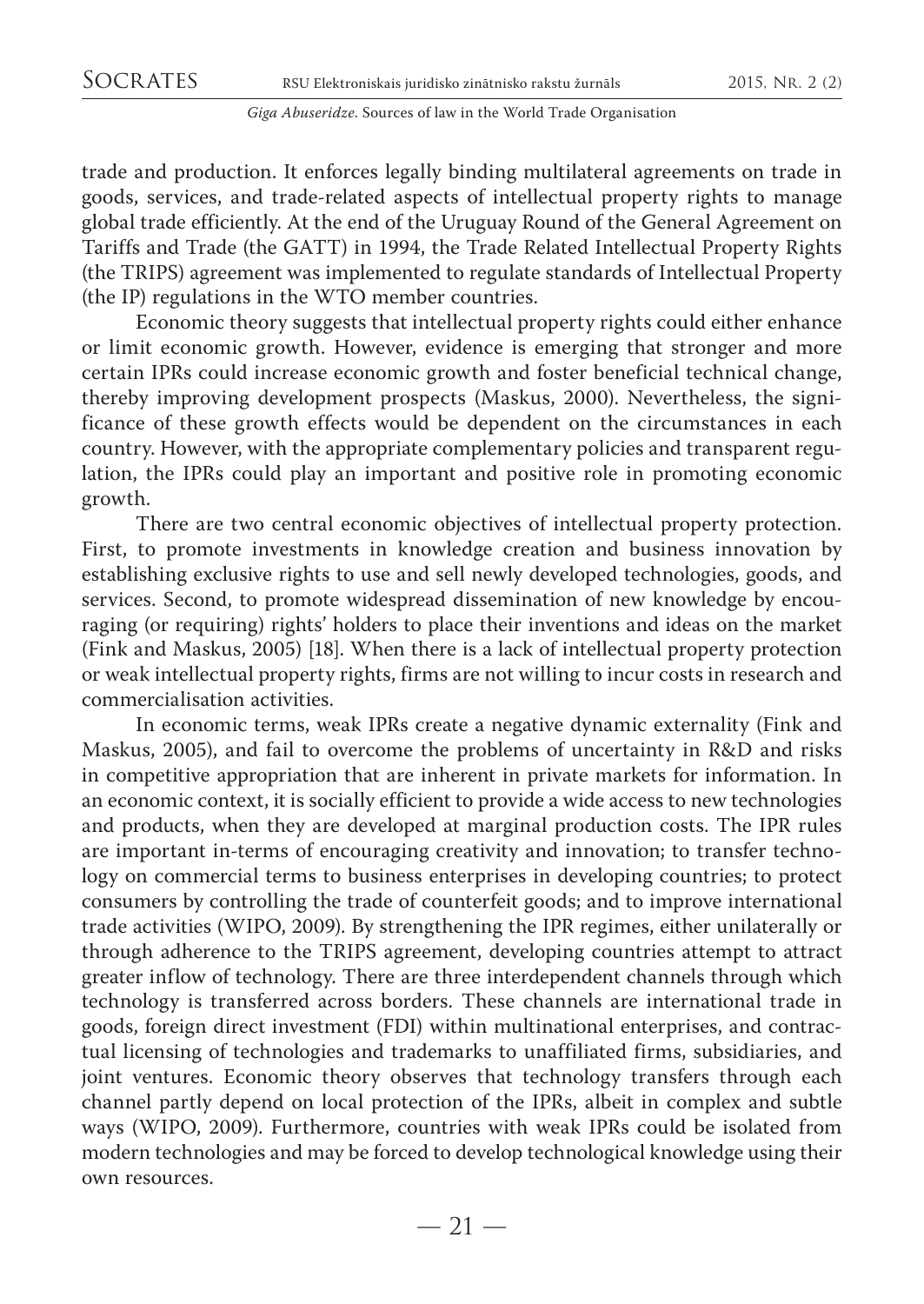trade and production. It enforces legally binding multilateral agreements on trade in goods, services, and trade-related aspects of intellectual property rights to manage global trade efficiently. At the end of the Uruguay Round of the General Agreement on Tariffs and Trade (the GATT) in 1994, the Trade Related Intellectual Property Rights (the TRIPS) agreement was implemented to regulate standards of Intellectual Property (the IP) regulations in the WTO member countries.

Economic theory suggests that intellectual property rights could either enhance or limit economic growth. However, evidence is emerging that stronger and more certain IPRs could increase economic growth and foster beneficial technical change, thereby improving development prospects (Maskus, 2000). Nevertheless, the significance of these growth effects would be dependent on the circumstances in each country. However, with the appropriate complementary policies and transparent regulation, the IPRs could play an important and positive role in promoting economic growth.

There are two central economic objectives of intellectual property protection. First, to promote investments in knowledge creation and business innovation by establishing exclusive rights to use and sell newly developed technologies, goods, and services. Second, to promote widespread dissemination of new knowledge by encouraging (or requiring) rights' holders to place their inventions and ideas on the market (Fink and Maskus, 2005) [18]. When there is a lack of intellectual property protection or weak intellectual property rights, firms are not willing to incur costs in research and commercialisation activities.

In economic terms, weak IPRs create a negative dynamic externality (Fink and Maskus, 2005), and fail to overcome the problems of uncertainty in R&D and risks in competitive appropriation that are inherent in private markets for information. In an economic context, it is socially efficient to provide a wide access to new technologies and products, when they are developed at marginal production costs. The IPR rules are important in-terms of encouraging creativity and innovation; to transfer technology on commercial terms to business enterprises in developing countries; to protect consumers by controlling the trade of counterfeit goods; and to improve international trade activities (WIPO, 2009). By strengthening the IPR regimes, either unilaterally or through adherence to the TRIPS agreement, developing countries attempt to attract greater inflow of technology. There are three interdependent channels through which technology is transferred across borders. These channels are international trade in goods, foreign direct investment (FDI) within multinational enterprises, and contractual licensing of technologies and trademarks to unaffiliated firms, subsidiaries, and joint ventures. Economic theory observes that technology transfers through each channel partly depend on local protection of the IPRs, albeit in complex and subtle ways (WIPO, 2009). Furthermore, countries with weak IPRs could be isolated from modern technologies and may be forced to develop technological knowledge using their own resources.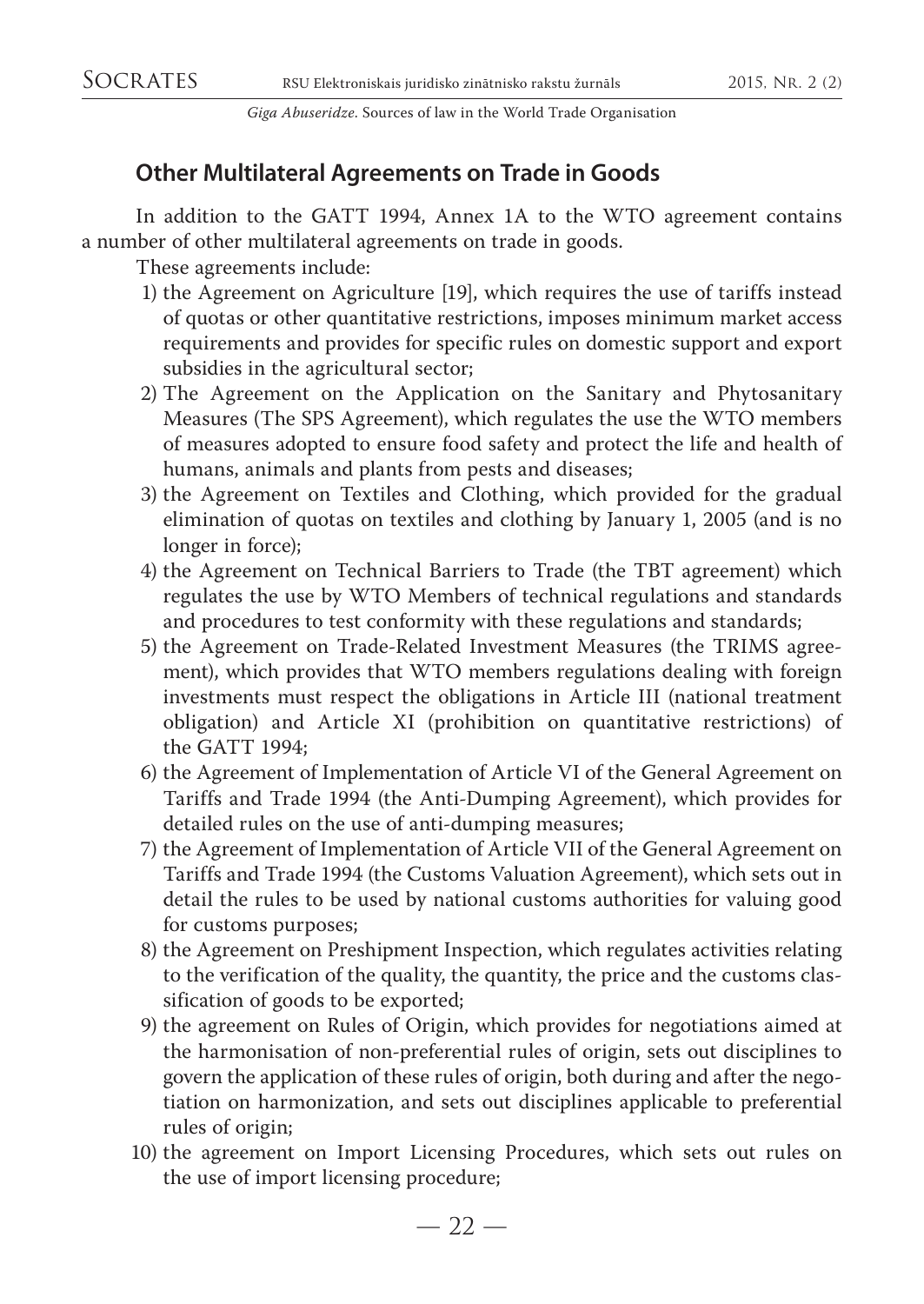## **Other Multilateral Agreements on Trade in Goods**

In addition to the GATT 1994, Annex 1A to the WTO agreement contains a number of other multilateral agreements on trade in goods.

These agreements include:

- 1) the Agreement on Agriculture [19], which requires the use of tariffs instead of quotas or other quantitative restrictions, imposes minimum market access requirements and provides for specific rules on domestic support and export subsidies in the agricultural sector;
- 2) The Agreement on the Application on the Sanitary and Phytosanitary Measures (The SPS Agreement), which regulates the use the WTO members of measures adopted to ensure food safety and protect the life and health of humans, animals and plants from pests and diseases;
- 3) the Agreement on Textiles and Clothing, which provided for the gradual elimination of quotas on textiles and clothing by January 1, 2005 (and is no longer in force);
- 4) the Agreement on Technical Barriers to Trade (the TBT agreement) which regulates the use by WTO Members of technical regulations and standards and procedures to test conformity with these regulations and standards;
- 5) the Agreement on Trade-Related Investment Measures (the TRIMS agreement), which provides that WTO members regulations dealing with foreign investments must respect the obligations in Article III (national treatment obligation) and Article XI (prohibition on quantitative restrictions) of the GATT 1994;
- 6) the Agreement of Implementation of Article VI of the General Agreement on Tariffs and Trade 1994 (the Anti-Dumping Agreement), which provides for detailed rules on the use of anti-dumping measures;
- 7) the Agreement of Implementation of Article VII of the General Agreement on Tariffs and Trade 1994 (the Customs Valuation Agreement), which sets out in detail the rules to be used by national customs authorities for valuing good for customs purposes;
- 8) the Agreement on Preshipment Inspection, which regulates activities relating to the verification of the quality, the quantity, the price and the customs classification of goods to be exported;
- 9) the agreement on Rules of Origin, which provides for negotiations aimed at the harmonisation of non-preferential rules of origin, sets out disciplines to govern the application of these rules of origin, both during and after the negotiation on harmonization, and sets out disciplines applicable to preferential rules of origin;
- 10) the agreement on Import Licensing Procedures, which sets out rules on the use of import licensing procedure;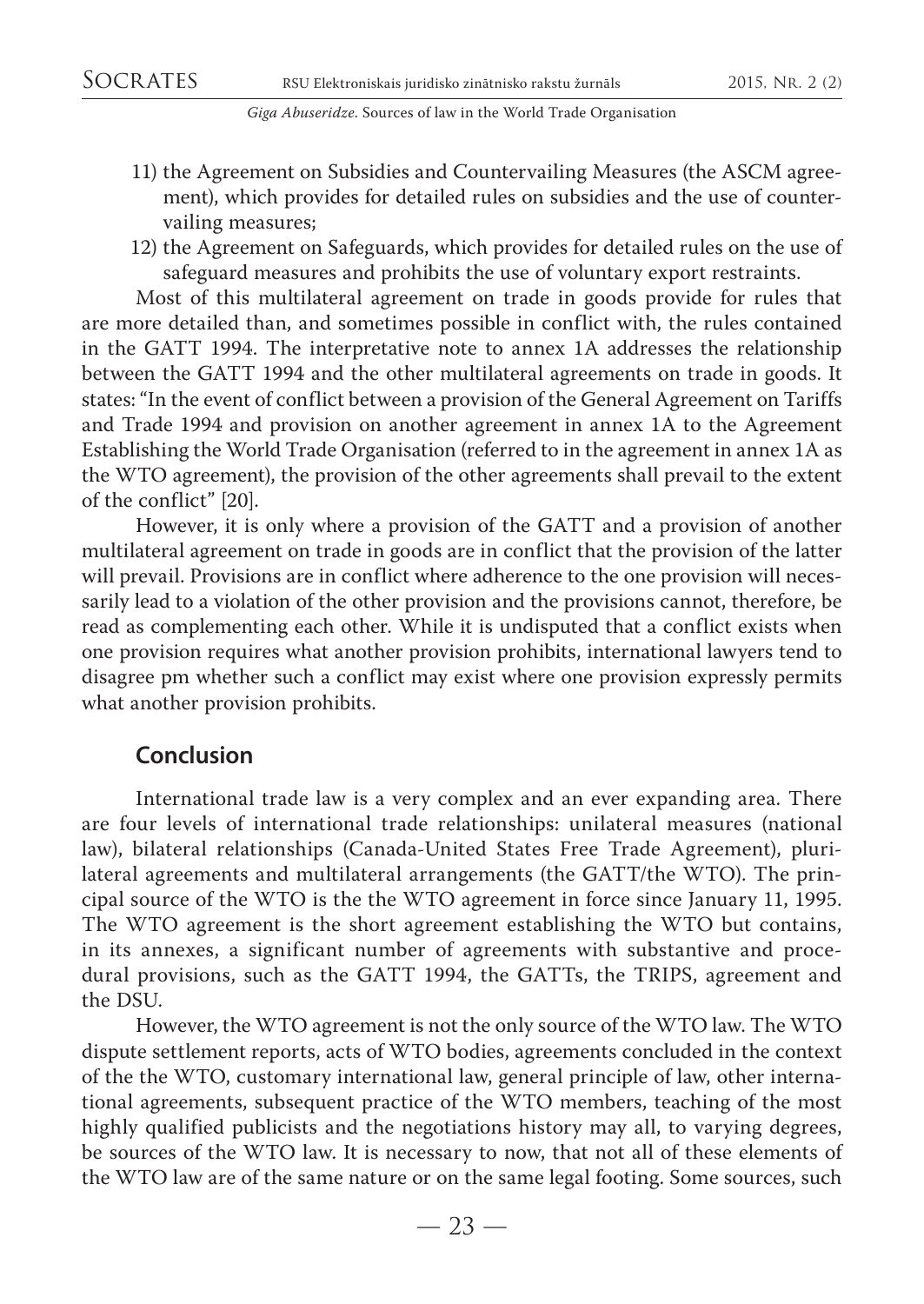- 11) the Agreement on Subsidies and Countervailing Measures (the ASCM agreement), which provides for detailed rules on subsidies and the use of countervailing measures;
- 12) the Agreement on Safeguards, which provides for detailed rules on the use of safeguard measures and prohibits the use of voluntary export restraints.

Most of this multilateral agreement on trade in goods provide for rules that are more detailed than, and sometimes possible in conflict with, the rules contained in the GATT 1994. The interpretative note to annex 1A addresses the relationship between the GATT 1994 and the other multilateral agreements on trade in goods. It states: "In the event of conflict between a provision of the General Agreement on Tariffs and Trade 1994 and provision on another agreement in annex 1A to the Agreement Establishing the World Trade Organisation (referred to in the agreement in annex 1A as the WTO agreement), the provision of the other agreements shall prevail to the extent of the conflict" [20].

However, it is only where a provision of the GATT and a provision of another multilateral agreement on trade in goods are in conflict that the provision of the latter will prevail. Provisions are in conflict where adherence to the one provision will necessarily lead to a violation of the other provision and the provisions cannot, therefore, be read as complementing each other. While it is undisputed that a conflict exists when one provision requires what another provision prohibits, international lawyers tend to disagree pm whether such a conflict may exist where one provision expressly permits what another provision prohibits.

### **Conclusion**

International trade law is a very complex and an ever expanding area. There are four levels of international trade relationships: unilateral measures (national law), bilateral relationships (Canada-United States Free Trade Agreement), plurilateral agreements and multilateral arrangements (the GATT/the WTO). The principal source of the WTO is the the WTO agreement in force since January 11, 1995. The WTO agreement is the short agreement establishing the WTO but contains, in its annexes, a significant number of agreements with substantive and procedural provisions, such as the GATT 1994, the GATTs, the TRIPS, agreement and the DSU.

However, the WTO agreement is not the only source of the WTO law. The WTO dispute settlement reports, acts of WTO bodies, agreements concluded in the context of the the WTO, customary international law, general principle of law, other international agreements, subsequent practice of the WTO members, teaching of the most highly qualified publicists and the negotiations history may all, to varying degrees, be sources of the WTO law. It is necessary to now, that not all of these elements of the WTO law are of the same nature or on the same legal footing. Some sources, such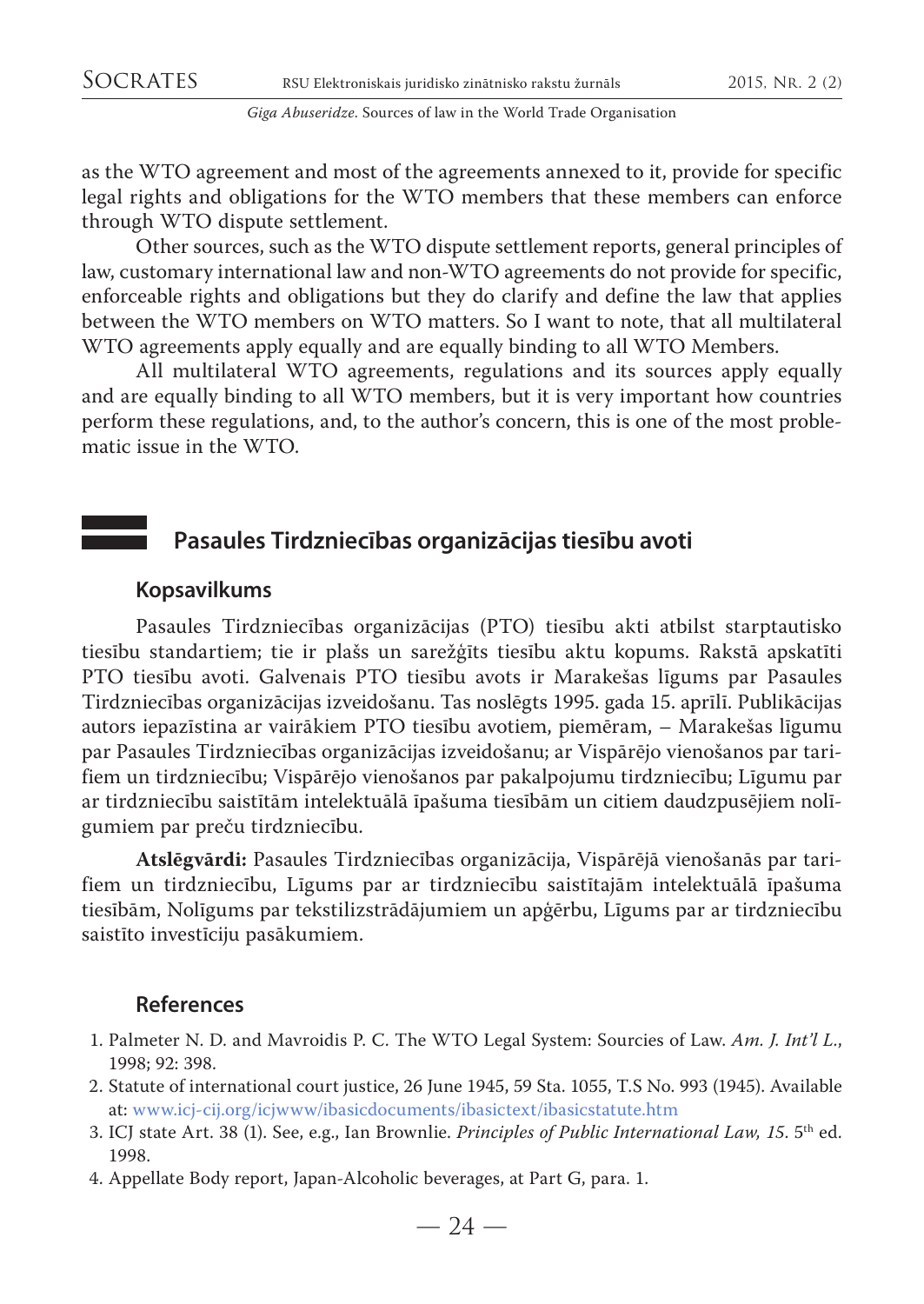as the WTO agreement and most of the agreements annexed to it, provide for specific legal rights and obligations for the WTO members that these members can enforce through WTO dispute settlement.

Other sources, such as the WTO dispute settlement reports, general principles of law, customary international law and non-WTO agreements do not provide for specific, enforceable rights and obligations but they do clarify and define the law that applies between the WTO members on WTO matters. So I want to note, that all multilateral WTO agreements apply equally and are equally binding to all WTO Members.

All multilateral WTO agreements, regulations and its sources apply equally and are equally binding to all WTO members, but it is very important how countries perform these regulations, and, to the author's concern, this is one of the most problematic issue in the WTO.

## **Pasaules Tirdzniecības organizācijas tiesību avoti**

### **Kopsavilkums**

Pasaules Tirdzniecības organizācijas (PTO) tiesību akti atbilst starptautisko tiesību standartiem; tie ir plašs un sarežģīts tiesību aktu kopums. Rakstā apskatīti PTO tiesību avoti. Galvenais PTO tiesību avots ir Marakešas līgums par Pasaules Tirdzniecības organizācijas izveidošanu. Tas noslēgts 1995. gada 15. aprīlī. Publikācijas autors iepazīstina ar vairākiem PTO tiesību avotiem, piemēram, – Marakešas līgumu par Pasaules Tirdzniecības organizācijas izveidošanu; ar Vispārējo vienošanos par tarifiem un tirdzniecību; Vispārējo vienošanos par pakalpojumu tirdzniecību; Līgumu par ar tirdzniecību saistītām intelektuālā īpašuma tiesībām un citiem daudzpusējiem nolīgumiem par preču tirdzniecību.

**Atslēgvārdi:** Pasaules Tirdzniecības organizācija, Vispārējā vienošanās par tarifiem un tirdzniecību, Līgums par ar tirdzniecību saistītajām intelektuālā īpašuma tiesībām, Nolīgums par tekstilizstrādājumiem un apģērbu, Līgums par ar tirdzniecību saistīto investīciju pasākumiem.

#### **References**

- 1. Palmeter N. D. and Mavroidis P. C. The WTO Legal System: Sourcies of Law. *Am. J. Int'l L.*, 1998; 92: 398.
- 2. Statute of international court justice, 26 June 1945, 59 Sta. 1055, T.S No. 993 (1945). Available at: www.icj-cij.org/icjwww/ibasicdocuments/ibasictext/ibasicstatute.htm
- 3. ICJ state Art. 38 (1). See, e.g., Ian Brownlie. *Principles of Public International Law, 15*. 5th ed. 1998.
- 4. Appellate Body report, Japan-Alcoholic beverages, at Part G, para. 1.